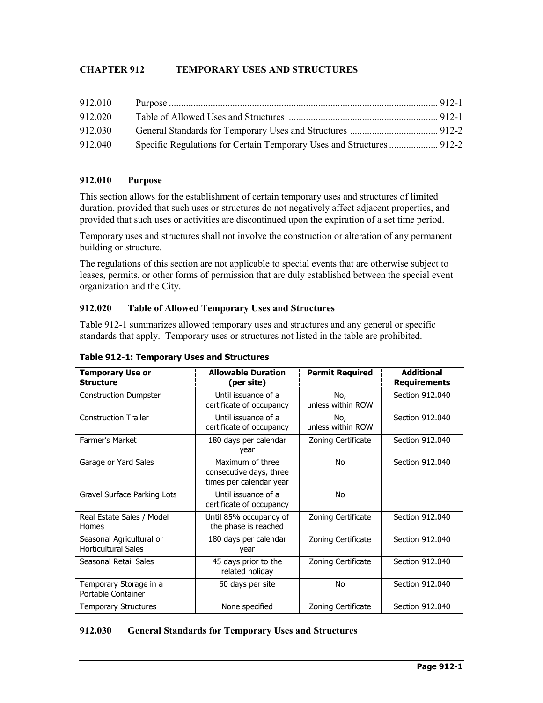# **CHAPTER 912 TEMPORARY USES AND STRUCTURES**

| 912.010 |                                                                       |  |
|---------|-----------------------------------------------------------------------|--|
| 912.020 |                                                                       |  |
| 912.030 |                                                                       |  |
| 912.040 | Specific Regulations for Certain Temporary Uses and Structures  912-2 |  |

# **912.010 Purpose**

This section allows for the establishment of certain temporary uses and structures of limited duration, provided that such uses or structures do not negatively affect adjacent properties, and provided that such uses or activities are discontinued upon the expiration of a set time period.

Temporary uses and structures shall not involve the construction or alteration of any permanent building or structure.

The regulations of this section are not applicable to special events that are otherwise subject to leases, permits, or other forms of permission that are duly established between the special event organization and the City.

# **912.020 Table of Allowed Temporary Uses and Structures**

Table 912-1 summarizes allowed temporary uses and structures and any general or specific standards that apply. Temporary uses or structures not listed in the table are prohibited.

| <b>Temporary Use or</b><br><b>Structure</b>            | <b>Allowable Duration</b><br>(per site)                                | <b>Permit Required</b>   | <b>Additional</b><br><b>Requirements</b> |
|--------------------------------------------------------|------------------------------------------------------------------------|--------------------------|------------------------------------------|
| <b>Construction Dumpster</b>                           | Until issuance of a<br>certificate of occupancy                        | No,<br>unless within ROW | Section 912.040                          |
| <b>Construction Trailer</b>                            | Until issuance of a<br>certificate of occupancy                        | No,<br>unless within ROW | Section 912.040                          |
| Farmer's Market                                        | 180 days per calendar<br>year                                          | Zoning Certificate       | Section 912,040                          |
| Garage or Yard Sales                                   | Maximum of three<br>consecutive days, three<br>times per calendar year | No.                      | Section 912,040                          |
| Gravel Surface Parking Lots                            | Until issuance of a<br>certificate of occupancy                        | No                       |                                          |
| Real Estate Sales / Model<br>Homes                     | Until 85% occupancy of<br>the phase is reached                         | Zoning Certificate       | Section 912,040                          |
| Seasonal Agricultural or<br><b>Horticultural Sales</b> | 180 days per calendar<br>year                                          | Zoning Certificate       | Section 912.040                          |
| Seasonal Retail Sales                                  | 45 days prior to the<br>related holiday                                | Zoning Certificate       | Section 912,040                          |
| Temporary Storage in a<br>Portable Container           | 60 days per site                                                       | No.                      | Section 912.040                          |
| <b>Temporary Structures</b>                            | None specified                                                         | Zoning Certificate       | Section 912,040                          |

#### **Table 912-1: Temporary Uses and Structures**

#### **912.030 General Standards for Temporary Uses and Structures**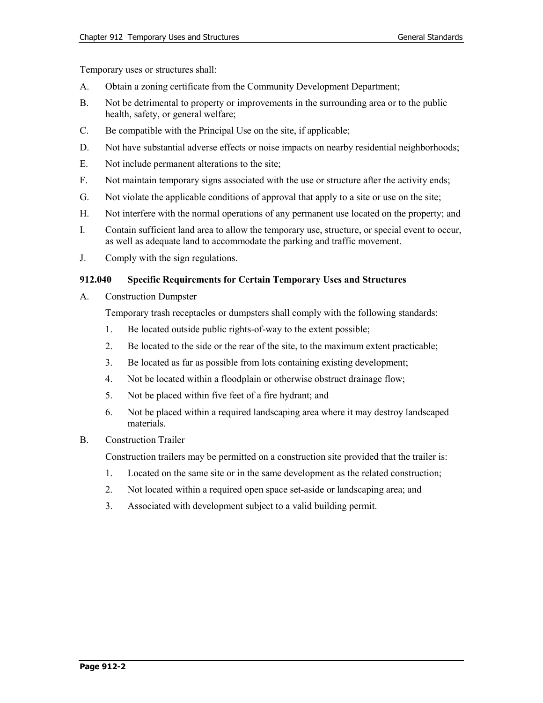Temporary uses or structures shall:

- A. Obtain a zoning certificate from the Community Development Department;
- B. Not be detrimental to property or improvements in the surrounding area or to the public health, safety, or general welfare;
- C. Be compatible with the Principal Use on the site, if applicable;
- D. Not have substantial adverse effects or noise impacts on nearby residential neighborhoods;
- E. Not include permanent alterations to the site;
- F. Not maintain temporary signs associated with the use or structure after the activity ends;
- G. Not violate the applicable conditions of approval that apply to a site or use on the site;
- H. Not interfere with the normal operations of any permanent use located on the property; and
- I. Contain sufficient land area to allow the temporary use, structure, or special event to occur, as well as adequate land to accommodate the parking and traffic movement.
- J. Comply with the sign regulations.

# **912.040 Specific Requirements for Certain Temporary Uses and Structures**

A. Construction Dumpster

Temporary trash receptacles or dumpsters shall comply with the following standards:

- 1. Be located outside public rights-of-way to the extent possible;
- 2. Be located to the side or the rear of the site, to the maximum extent practicable;
- 3. Be located as far as possible from lots containing existing development;
- 4. Not be located within a floodplain or otherwise obstruct drainage flow;
- 5. Not be placed within five feet of a fire hydrant; and
- 6. Not be placed within a required landscaping area where it may destroy landscaped materials.

## B. Construction Trailer

Construction trailers may be permitted on a construction site provided that the trailer is:

- 1. Located on the same site or in the same development as the related construction;
- 2. Not located within a required open space set-aside or landscaping area; and
- 3. Associated with development subject to a valid building permit.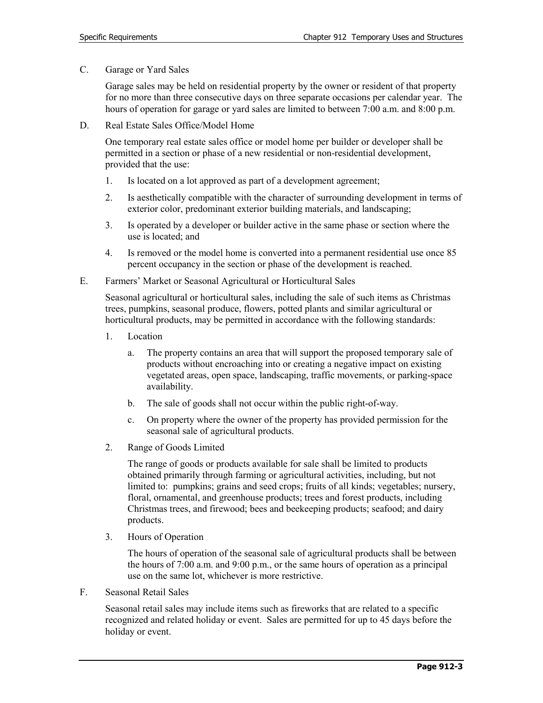C. Garage or Yard Sales

Garage sales may be held on residential property by the owner or resident of that property for no more than three consecutive days on three separate occasions per calendar year. The hours of operation for garage or yard sales are limited to between 7:00 a.m. and 8:00 p.m.

D. Real Estate Sales Office/Model Home

One temporary real estate sales office or model home per builder or developer shall be permitted in a section or phase of a new residential or non-residential development, provided that the use:

- 1. Is located on a lot approved as part of a development agreement;
- 2. Is aesthetically compatible with the character of surrounding development in terms of exterior color, predominant exterior building materials, and landscaping;
- 3. Is operated by a developer or builder active in the same phase or section where the use is located; and
- 4. Is removed or the model home is converted into a permanent residential use once 85 percent occupancy in the section or phase of the development is reached.
- E. Farmers' Market or Seasonal Agricultural or Horticultural Sales

Seasonal agricultural or horticultural sales, including the sale of such items as Christmas trees, pumpkins, seasonal produce, flowers, potted plants and similar agricultural or horticultural products, may be permitted in accordance with the following standards:

- 1. Location
	- a. The property contains an area that will support the proposed temporary sale of products without encroaching into or creating a negative impact on existing vegetated areas, open space, landscaping, traffic movements, or parking-space availability.
	- b. The sale of goods shall not occur within the public right-of-way.
	- c. On property where the owner of the property has provided permission for the seasonal sale of agricultural products.
- 2. Range of Goods Limited

The range of goods or products available for sale shall be limited to products obtained primarily through farming or agricultural activities, including, but not limited to: pumpkins; grains and seed crops; fruits of all kinds; vegetables; nursery, floral, ornamental, and greenhouse products; trees and forest products, including Christmas trees, and firewood; bees and beekeeping products; seafood; and dairy products.

3. Hours of Operation

The hours of operation of the seasonal sale of agricultural products shall be between the hours of 7:00 a.m. and 9:00 p.m., or the same hours of operation as a principal use on the same lot, whichever is more restrictive.

F. Seasonal Retail Sales

Seasonal retail sales may include items such as fireworks that are related to a specific recognized and related holiday or event. Sales are permitted for up to 45 days before the holiday or event.